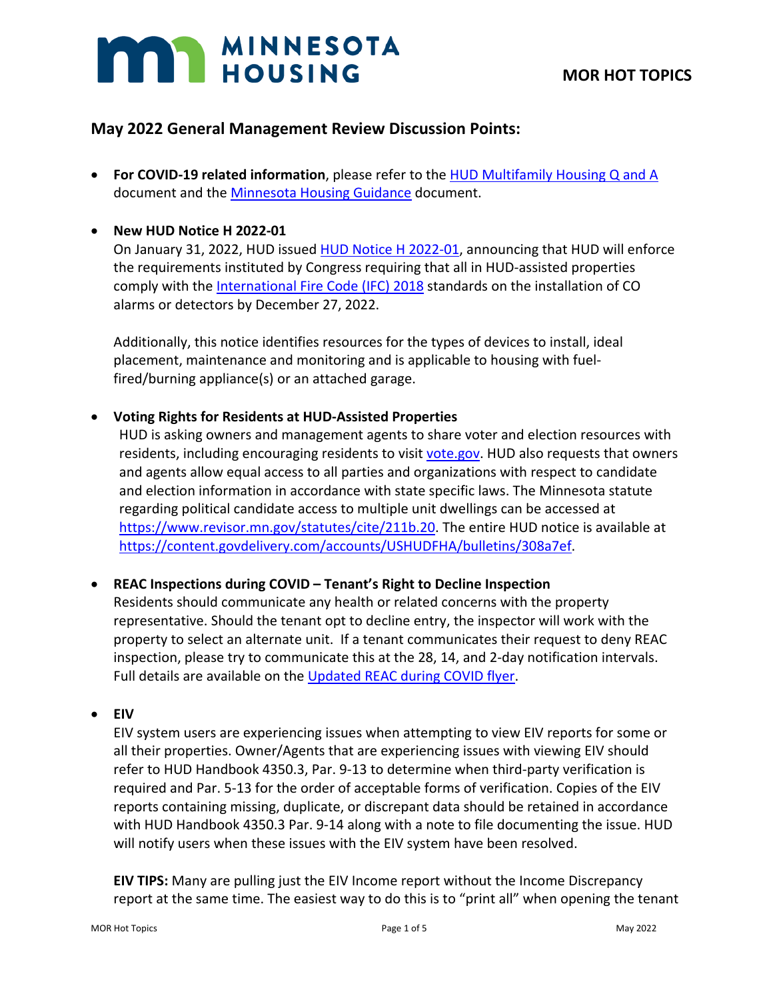# **MAN MINNESOTA**

# **May 2022 General Management Review Discussion Points:**

• **For COVID-19 related information**, please refer to the [HUD Multifamily Housing Q and A](https://www.hud.gov/sites/dfiles/Housing/documents/HUD_Multifamily_Corona_QA_FINAL.pdf) document and the [Minnesota Housing Guidance](https://www.mnhousing.gov/get/MHFA_238349) document.

# • **New HUD Notice H 2022-01**

On January 31, 2022, HUD issued [HUD Notice H 2022-01,](https://www.hud.gov/sites/dfiles/OCHCO/documents/2022-01pihn.pdf) announcing that HUD will enforce the requirements instituted by Congress requiring that all in HUD-assisted properties comply with the [International Fire Code \(IFC\) 2018](https://gcc02.safelinks.protection.outlook.com/?url=https%3A%2F%2Ftrk.klclick3.com%2Fls%2Fclick%3Fupn%3DvFjKxPMfJSvbW7pu-2FbSPqnWVVSboqw8m48yNRsf82ssASi-2FQOEM5ctwgMVixdE6US-2FJ-2Fe6rgUvg-2BvMKFgTnVIQ2iT5YqCXk4K4kM-2FQvfLJXSbXEhGS8xPCUSTNR2S92q8TvB-2B0mc9qi9DyCwrFWiMAKC0GMsAXkWArCsr-2Bb-2F5WHwfffViTMP8hqsymtfLfSBa5enyohzUcEm4KMNJ2hEjIyiDukeA-2BlGSnx4ZTun41SbnTDudYDgYCPsZVsbJEHWdW0RL-2FMHyCwlOeC9gT1GaA-3D-3DpJHy_Rytl71JJIFj7eMmBc-2FWVT5Blvk1H7I0dQ7T2XQk057nDRADx49gDmtRQrLIHHYV5pEKDHiObhY8418n3zakwEeUMBuw4iKGNw5mCRuQXz7OkVYmwVQTmNYgIigqYx-2FTlUctlsoV3QtNvrEYnQ7geGIoCKVqA1rNcXBnD4ZLw5jOjI9qJmaCf14rwoTnCpxmVNxTlKKeqB9tmUZxJBzqqnwx86kF-2FIeQ7K8AyNYAP2SaWSyXw1hPAD4E3T9TBo559i2Pk44QM-2F0Ij-2B8wWdCbnGfOzbn7rXI1A1-2BKFch54VTQpOefuuOyOqrmA4I-2BWxHunLKeZLFPyaEZ9OebD1LABw6JwZ07PxmrRzjebYplny4P7lGWXtfn2-2FKhe-2FHxfOwoNaWVWOkTRw-2BIAwe6i6-2BFEdQ-3D-3D&data=04%7C01%7Ccassie.gordon%40state.mn.us%7Cc888bf6a46bb4bc09a5108d9e67a1692%7Ceb14b04624c445198f26b89c2159828c%7C0%7C0%7C637794234316184807%7CUnknown%7CTWFpbGZsb3d8eyJWIjoiMC4wLjAwMDAiLCJQIjoiV2luMzIiLCJBTiI6Ik1haWwiLCJXVCI6Mn0%3D%7C3000&sdata=p2PqeLjThjcJccUiR3Dzb5oHxVcYIV9ep2F5eYczGs4%3D&reserved=0) standards on the installation of CO alarms or detectors by December 27, 2022.

Additionally, this notice identifies resources for the types of devices to install, ideal placement, maintenance and monitoring and is applicable to housing with fuelfired/burning appliance(s) or an attached garage.

# • **Voting Rights for Residents at HUD-Assisted Properties**

HUD is asking owners and management agents to share voter and election resources with residents, including encouraging residents to visit [vote.gov.](https://vote.gov/?utm_medium=email&utm_source=govdelivery) HUD also requests that owners and agents allow equal access to all parties and organizations with respect to candidate and election information in accordance with state specific laws. The Minnesota statute regarding political candidate access to multiple unit dwellings can be accessed at [https://www.revisor.mn.gov/statutes/cite/211b.20.](https://www.revisor.mn.gov/statutes/cite/211b.20) The entire HUD notice is available at [https://content.govdelivery.com/accounts/USHUDFHA/bulletins/308a7ef.](https://content.govdelivery.com/accounts/USHUDFHA/bulletins/308a7ef)

# • **REAC Inspections during COVID – Tenant's Right to Decline Inspection**

Residents should communicate any health or related concerns with the property representative. Should the tenant opt to decline entry, the inspector will work with the property to select an alternate unit. If a tenant communicates their request to deny REAC inspection, please try to communicate this at the 28, 14, and 2-day notification intervals. Full details are available on the [Updated REAC during COVID flyer.](https://www.us-hc.com/wp-content/uploads/2022/02/REAC-Stakeholder-COVID-Inspection-Adjustment-Flyer-Feb-10-2022.pdf?_kx=aAfq-TPQqY6orqKrid02IZypfTDbKcwqJi0UrJ8W8rnc4CswC2Uo4MXklcyVjwtM.QNzjg8)

# • **EIV**

EIV system users are experiencing issues when attempting to view EIV reports for some or all their properties. Owner/Agents that are experiencing issues with viewing EIV should refer to HUD Handbook 4350.3, Par. 9-13 to determine when third-party verification is required and Par. 5-13 for the order of acceptable forms of verification. Copies of the EIV reports containing missing, duplicate, or discrepant data should be retained in accordance with HUD Handbook 4350.3 Par. 9-14 along with a note to file documenting the issue. HUD will notify users when these issues with the EIV system have been resolved.

**EIV TIPS:** Many are pulling just the EIV Income report without the Income Discrepancy report at the same time. The easiest way to do this is to "print all" when opening the tenant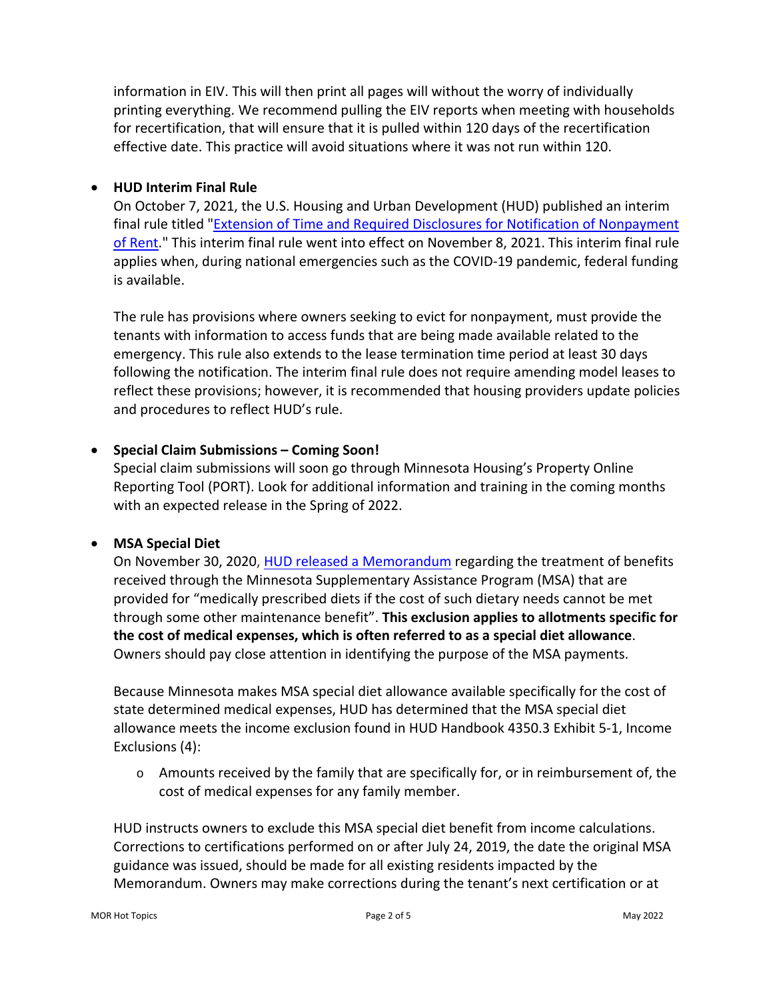information in EIV. This will then print all pages will without the worry of individually printing everything. We recommend pulling the EIV reports when meeting with households for recertification, that will ensure that it is pulled within 120 days of the recertification effective date. This practice will avoid situations where it was not run within 120.

# • **HUD Interim Final Rule**

On October 7, 2021, the U.S. Housing and Urban Development (HUD) published an interim final rule titled ["Extension of Time and Required Disclosures for Notification of Nonpayment](https://lnks.gd/l/eyJhbGciOiJIUzI1NiJ9.eyJidWxsZXRpbl9saW5rX2lkIjoxMDIsInVyaSI6ImJwMjpjbGljayIsImJ1bGxldGluX2lkIjoiMjAyMTEwMjEuNDc3MDE2MjEiLCJ1cmwiOiJodHRwczovL3d3dy5mZWRlcmFscmVnaXN0ZXIuZ292L2RvY3VtZW50cy8yMDIxLzEwLzA3LzIwMjEtMjE5NjAvZXh0ZW5zaW9uLW9mLXRpbWUtYW5kLXJlcXVpcmVkLWRpc2Nsb3N1cmVzLWZvci1ub3RpZmljYXRpb24tb2Ytbm9ucGF5bWVudC1vZi1yZW50P3ZhcmlhdGlvbj1BJl9reD1ZQ1VWRm5sU3g5c24wUk1KQ0JXQ002ZkxlVThhOGhkaWN2Sm1pTGU2eUw3QUZfM3pHWHBXZktXWXd5MzQxYW1hLlFOempnOCJ9.owu0ph5opGL-PDWLcrKAn9ePHUnbxqAjH2qwGvvPA6I/s/1823750487/br/114396819458-l)  [of Rent.](https://lnks.gd/l/eyJhbGciOiJIUzI1NiJ9.eyJidWxsZXRpbl9saW5rX2lkIjoxMDIsInVyaSI6ImJwMjpjbGljayIsImJ1bGxldGluX2lkIjoiMjAyMTEwMjEuNDc3MDE2MjEiLCJ1cmwiOiJodHRwczovL3d3dy5mZWRlcmFscmVnaXN0ZXIuZ292L2RvY3VtZW50cy8yMDIxLzEwLzA3LzIwMjEtMjE5NjAvZXh0ZW5zaW9uLW9mLXRpbWUtYW5kLXJlcXVpcmVkLWRpc2Nsb3N1cmVzLWZvci1ub3RpZmljYXRpb24tb2Ytbm9ucGF5bWVudC1vZi1yZW50P3ZhcmlhdGlvbj1BJl9reD1ZQ1VWRm5sU3g5c24wUk1KQ0JXQ002ZkxlVThhOGhkaWN2Sm1pTGU2eUw3QUZfM3pHWHBXZktXWXd5MzQxYW1hLlFOempnOCJ9.owu0ph5opGL-PDWLcrKAn9ePHUnbxqAjH2qwGvvPA6I/s/1823750487/br/114396819458-l)" This interim final rule went into effect on November 8, 2021. This interim final rule applies when, during national emergencies such as the COVID-19 pandemic, federal funding is available.

The rule has provisions where owners seeking to evict for nonpayment, must provide the tenants with information to access funds that are being made available related to the emergency. This rule also extends to the lease termination time period at least 30 days following the notification. The interim final rule does not require amending model leases to reflect these provisions; however, it is recommended that housing providers update policies and procedures to reflect HUD's rule.

# • **Special Claim Submissions – Coming Soon!**

Special claim submissions will soon go through Minnesota Housing's Property Online Reporting Tool (PORT). Look for additional information and training in the coming months with an expected release in the Spring of 2022.

# • **MSA Special Diet**

On November 30, 2020, [HUD released a Memorandum](https://www.mnhousing.gov/get/MHFA_247748) regarding the treatment of benefits received through the Minnesota Supplementary Assistance Program (MSA) that are provided for "medically prescribed diets if the cost of such dietary needs cannot be met through some other maintenance benefit". **This exclusion applies to allotments specific for the cost of medical expenses, which is often referred to as a special diet allowance**. Owners should pay close attention in identifying the purpose of the MSA payments.

Because Minnesota makes MSA special diet allowance available specifically for the cost of state determined medical expenses, HUD has determined that the MSA special diet allowance meets the income exclusion found in HUD Handbook 4350.3 Exhibit 5-1, Income Exclusions (4):

 $\circ$  Amounts received by the family that are specifically for, or in reimbursement of, the cost of medical expenses for any family member.

HUD instructs owners to exclude this MSA special diet benefit from income calculations. Corrections to certifications performed on or after July 24, 2019, the date the original MSA guidance was issued, should be made for all existing residents impacted by the Memorandum. Owners may make corrections during the tenant's next certification or at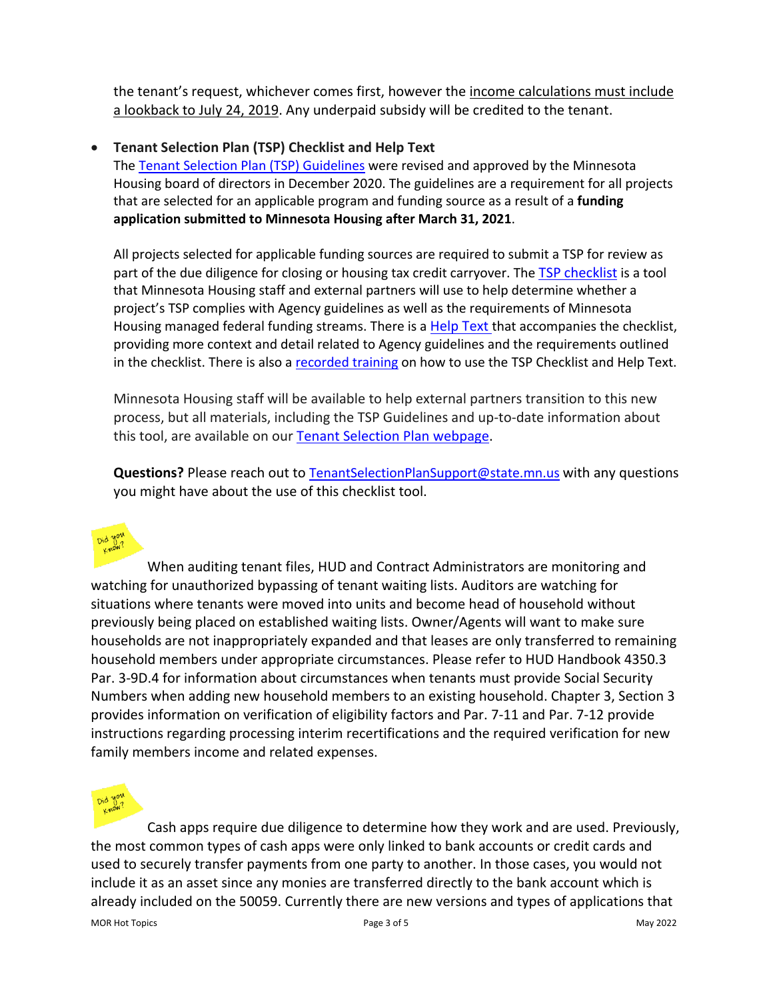the tenant's request, whichever comes first, however the income calculations must include a lookback to July 24, 2019. Any underpaid subsidy will be credited to the tenant.

#### • **Tenant Selection Plan (TSP) Checklist and Help Text**

The [Tenant Selection Plan \(TSP\)](https://www.mnhousing.gov/get/MHFA_1039899) Guidelines were revised and approved by the Minnesota Housing board of directors in December 2020. The guidelines are a requirement for all projects that are selected for an applicable program and funding source as a result of a **funding application submitted to Minnesota Housing after March 31, 2021**.

All projects selected for applicable funding sources are required to submit a TSP for review as part of the due diligence for closing or housing tax credit carryover. The [TSP checklist](https://www.mnhousing.gov/download/MHFA_249354) is a tool that Minnesota Housing staff and external partners will use to help determine whether a project's TSP complies with Agency guidelines as well as the requirements of Minnesota Housing managed federal funding streams. There is a **Help Text** that accompanies the checklist, providing more context and detail related to Agency guidelines and the requirements outlined in the checklist. There is also a [recorded training](https://www.youtube.com/watch?v=MIV-FLE8zJE) on how to use the TSP Checklist and Help Text.

Minnesota Housing staff will be available to help external partners transition to this new process, but all materials, including the TSP Guidelines and up-to-date information about this tool, are available on our [Tenant Selection Plan webpage.](https://www.mnhousing.gov/sites/multifamily/tenantselectionplan)

**Questions?** Please reach out to [TenantSelectionPlanSupport@state.mn.us](mailto:TenantSelectionPlanSupport@state.mn.us) with any questions you might have about the use of this checklist tool.



When auditing tenant files, HUD and Contract Administrators are monitoring and watching for unauthorized bypassing of tenant waiting lists. Auditors are watching for situations where tenants were moved into units and become head of household without previously being placed on established waiting lists. Owner/Agents will want to make sure households are not inappropriately expanded and that leases are only transferred to remaining household members under appropriate circumstances. Please refer to HUD Handbook 4350.3 Par. 3-9D.4 for information about circumstances when tenants must provide Social Security Numbers when adding new household members to an existing household. Chapter 3, Section 3 provides information on verification of eligibility factors and Par. 7-11 and Par. 7-12 provide instructions regarding processing interim recertifications and the required verification for new family members income and related expenses.



Cash apps require due diligence to determine how they work and are used. Previously, the most common types of cash apps were only linked to bank accounts or credit cards and used to securely transfer payments from one party to another. In those cases, you would not include it as an asset since any monies are transferred directly to the bank account which is already included on the 50059. Currently there are new versions and types of applications that

MOR Hot Topics and the example of the control of the Page 3 of 5 May 2022 May 2022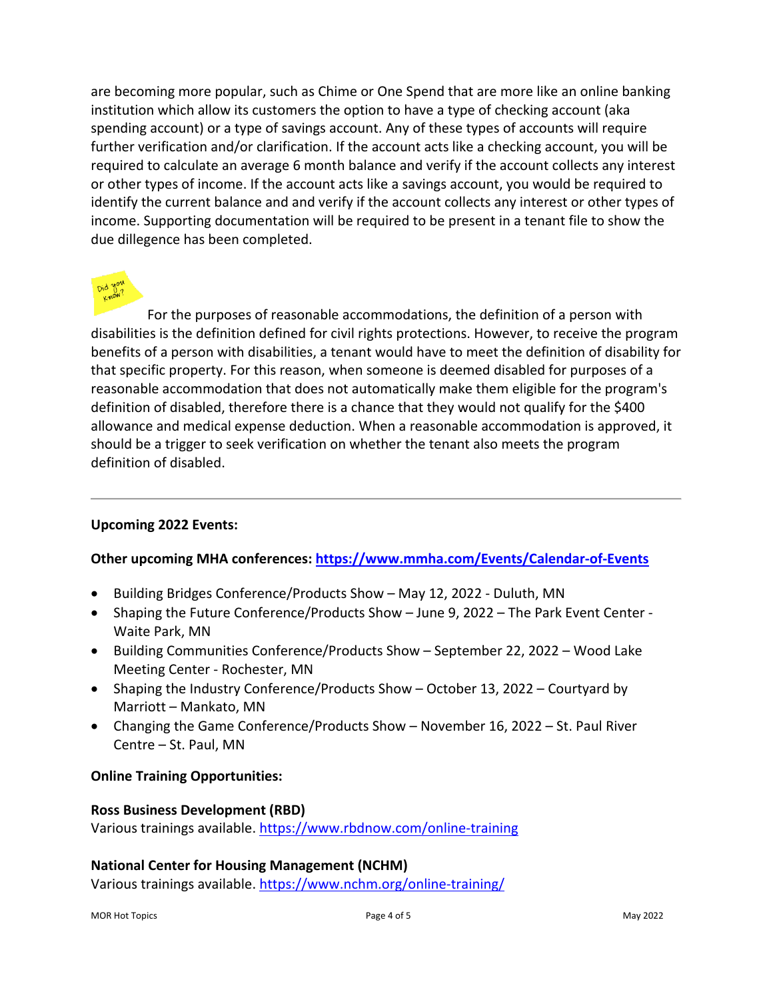are becoming more popular, such as Chime or One Spend that are more like an online banking institution which allow its customers the option to have a type of checking account (aka spending account) or a type of savings account. Any of these types of accounts will require further verification and/or clarification. If the account acts like a checking account, you will be required to calculate an average 6 month balance and verify if the account collects any interest or other types of income. If the account acts like a savings account, you would be required to identify the current balance and and verify if the account collects any interest or other types of income. Supporting documentation will be required to be present in a tenant file to show the due dillegence has been completed.

For the purposes of reasonable accommodations, the definition of a person with disabilities is the definition defined for civil rights protections. However, to receive the program benefits of a person with disabilities, a tenant would have to meet the definition of disability for that specific property. For this reason, when someone is deemed disabled for purposes of a reasonable accommodation that does not automatically make them eligible for the program's definition of disabled, therefore there is a chance that they would not qualify for the \$400 allowance and medical expense deduction. When a reasonable accommodation is approved, it should be a trigger to seek verification on whether the tenant also meets the program definition of disabled.

# **Upcoming 2022 Events:**

#### **Other upcoming MHA conferences:<https://www.mmha.com/Events/Calendar-of-Events>**

- Building Bridges Conference/Products Show May 12, 2022 Duluth, MN
- Shaping the Future Conference/Products Show June 9, 2022 The Park Event Center Waite Park, MN
- Building Communities Conference/Products Show September 22, 2022 Wood Lake Meeting Center - Rochester, MN
- Shaping the Industry Conference/Products Show October 13, 2022 Courtyard by Marriott – Mankato, MN
- Changing the Game Conference/Products Show November 16, 2022 St. Paul River Centre – St. Paul, MN

#### **Online Training Opportunities:**

#### **Ross Business Development (RBD)**

Various trainings available. [https://www.rbdnow.com/online-training](https://gcc01.safelinks.protection.outlook.com/?url=https%3A%2F%2Fwww.rbdnow.com%2Fonline-training&data=04%7C01%7Ccassie.gordon%40state.mn.us%7Ca1d23e88e4044885d8cf08d897b0a91a%7Ceb14b04624c445198f26b89c2159828c%7C0%7C0%7C637426132293808894%7CUnknown%7CTWFpbGZsb3d8eyJWIjoiMC4wLjAwMDAiLCJQIjoiV2luMzIiLCJBTiI6Ik1haWwiLCJXVCI6Mn0%3D%7C1000&sdata=S2Y3R2IyQXImxCFIMTrKi%2B0YlofrGGhe4WS9Q3SHo%2Bo%3D&reserved=0)

#### **National Center for Housing Management (NCHM)**

Various trainings available. [https://www.nchm.org/online-training/](https://gcc01.safelinks.protection.outlook.com/?url=https%3A%2F%2Fwww.nchm.org%2Fonline-training%2F&data=04%7C01%7Ccassie.gordon%40state.mn.us%7Ca1d23e88e4044885d8cf08d897b0a91a%7Ceb14b04624c445198f26b89c2159828c%7C0%7C0%7C637426132293808894%7CUnknown%7CTWFpbGZsb3d8eyJWIjoiMC4wLjAwMDAiLCJQIjoiV2luMzIiLCJBTiI6Ik1haWwiLCJXVCI6Mn0%3D%7C1000&sdata=r6XmeeKdnqZAuJy1qP4FPG2jm2kB44NuDnj4WMGXjNI%3D&reserved=0)